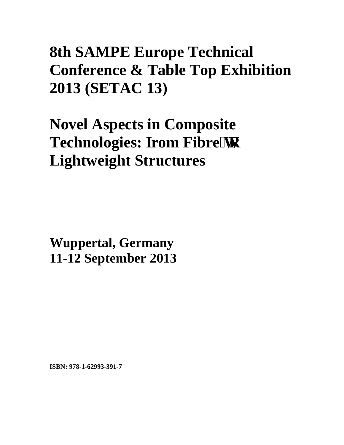# **8th SAMPE Europe Technical Conference & Table Top Exhibition 2013 (SETAC 13)**

**Novel Aspects in Composite Technologies: Irom Fibre'vq Lightweight Structures** 

**Wuppertal, Germany 11-12 September 2013**

**ISBN: 978-1-62993-391-7**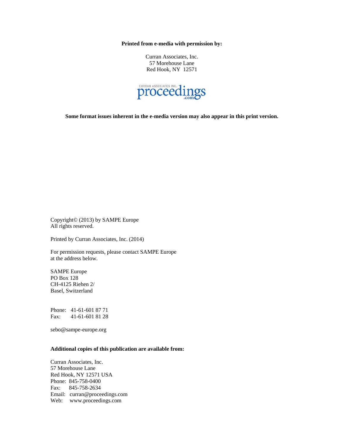**Printed from e-media with permission by:** 

Curran Associates, Inc. 57 Morehouse Lane Red Hook, NY 12571



**Some format issues inherent in the e-media version may also appear in this print version.** 

Copyright© (2013) by SAMPE Europe All rights reserved.

Printed by Curran Associates, Inc. (2014)

For permission requests, please contact SAMPE Europe at the address below.

SAMPE Europe PO Box 128 CH-4125 Riehen 2/ Basel, Switzerland

Phone: 41-61-601 87 71 Fax: 41-61-601 81 28

sebo@sampe-europe.org

### **Additional copies of this publication are available from:**

Curran Associates, Inc. 57 Morehouse Lane Red Hook, NY 12571 USA Phone: 845-758-0400 Fax: 845-758-2634 Email: curran@proceedings.com Web: www.proceedings.com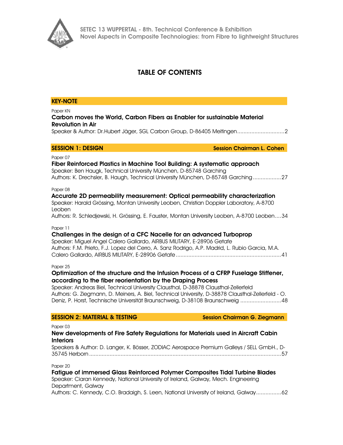

# TABLE OF CONTENTS

### KEY-NOTE

Paper KN

# Carbon moves the World, Carbon Fibers as Enabler for sustainable Material Revolution in Air

Speaker & Author: Dr.Hubert Jäger, SGL Carbon Group, D-86405 Meitingen .............................. 2

**SESSION 1: DESIGN Session Chairman L. Cohen** 

### Paper 07

Fiber Reinforced Plastics in Machine Tool Building: A systematic approach Speaker: Ben Haugk, Technical University München, D-85748 Garching Authors: K. Drechsler, B. Haugh, Technical University München, D-85748 Garching .................. 27

Paper 08

# Accurate 2D permeability measurement: Optical permeability characterization Speaker: Harald Grössing, Montan University Leoben, Christian Doppler Laboratory, A-8700 Leoben

Authors: R. Schledjewski, H. Grössing, E. Fauster, Montan University Leoben, A-8700 Leoben .... 34

Paper 11

# Challenges in the design of a CFC Nacelle for an advanced Turboprop

Speaker: Miguel Angel Calero Gallardo, AIRBUS MILITARY, E-28906 Getafe Authors: F.M. Prieto, F.J. Lopez del Cerro, A. Sanz Rodrigo, A.P. Madrid, L. Rubio Garcia, M.A. Calero Gallardo, AIRBUS MILITARY, E-28906 Getafe ................................................................... 41

Paper 25

# Optimization of the structure and the Infusion Process of a CFRP Fuselage Stiffener, according to the fiber reorientation by the Draping Process

Speaker: Andreas Biel, Technical University Clausthal, D-38878 Clausthal-Zellerfeld Authors: G. Ziegmann, D. Meiners, A. Biel, Technical University, D-38878 Clausthal-Zellerfeld - O. Deniz, P. Horst, Technische Universität Braunschweig, D-38108 Braunschweig .......................... 48

### SESSION 2: MATERIAL & TESTING SESSION Chairman G. Ziegmann

Paper 03

# New developments of Fire Safety Regulations for Materials used in Aircraft Cabin Interiors

Speakers & Author: D. Langer, K. Bösser, ZODIAC Aerospace Premium Galleys / SELL GmbH., D-35745 Herborn .......................................................................................................................... 57

Paper 20

Fatigue of immersed Glass Reinforced Polymer Composites Tidal Turbine Blades Speaker: Ciaran Kennedy, National University of Ireland, Galway, Mech. Engineering Department, Galway Authors: C. Kennedy, C.O. Bradaigh, S. Leen, National University of Ireland, Galway ................ 62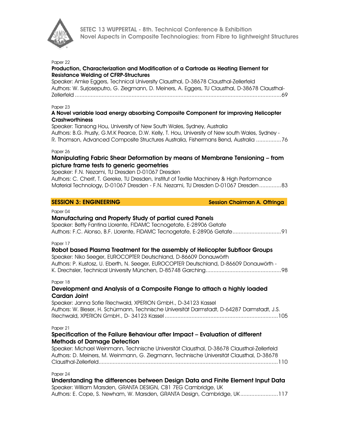

### Paper 22

### Production, Characterization and Modification of a Cartrode as Heating Element for Resistance Welding of CFRP-Structures

Speaker: Amke Eggers, Technical University Clausthal, D-38678 Clausthal-Zellerfeld Authors: W. Surjoseputro, G. Ziegmann, D. Meiners, A. Eggers, TU Clausthal, D-38678 Clausthal-Zellerfeld ................................................................................................................................... 69

### Paper 23

# A Novel variable load energy absorbing Composite Component for improving Helicopter **Crashworthiness**

Speaker: Tiansong Hou, University of New South Wales, Sydney, Australia Authors: B.G. Prusty, G.M.K Pearce, D.W. Kelly, T. Hou, University of New south Wales, Sydney - R. Thomson, Advanced Composite Structures Australia, Fishermans Bend, Australia ................ 76

### Paper 26

### Manipulating Fabric Shear Deformation by means of Membrane Tensioning – from picture frame tests to generic geometries

Speaker: F.N. Nezami, TU Dresden D-01067 Dresden Authors: C. Cherif, T. Gereke, TU Dresden, Institut of Textile Machinery & High Performance Material Technology, D-01067 Dresden - F.N. Nezami, TU Dresden D-01067 Dresden .............. 83

SESSION 3: ENGINEERING SESSION SESSION 3: ENGINEERING

### Paper 04

### Manufacturing and Property Study of partial cured Panels

Speaker: Betty Fantina Llorente, FIDAMC Tecnogetafe, E-28906 Getafe Authors: F.C. Alonso, B.F. Llorente, FIDAMC Tecnogetafe, E-28906 Getafe ............................... 91

Paper 17

### Robot based Plasma Treatment for the assembly of Helicopter Subfloor Groups

Speaker: Niko Seeger, EUROCOPTER Deutschland, D-86609 Donauwörth Authors: P. Kustosz, U. Eberth, N. Seeger, EUROCOPTER Deutschland, D-86609 Donauwörth - K. Drechsler, Technical University München, D-85748 Garching ................................................ 98

### Paper 18

# Development and Analysis of a Composite Flange to attach a highly loaded Cardan Joint

Speaker: Janna Sofie Riechwald, XPERION GmbH., D-34123 Kassel Authors: W. Bleser, H. Schürmann, Technische Universität Darmstadt, D-64287 Darmstadt, J.S. Riechwald, XPERION GmbH., D- 34123 Kassel ........................................................................ 105

### Paper 21

# Specification of the Failure Behaviour after Impact – Evaluation of different Methods of Damage Detection

Speaker: Michael Weinmann, Technische Universität Clausthal, D-38678 Clausthal-Zellerfeld Authors: D. Meiners, M. Weinmann, G. Ziegmann, Technische Universität Clausthal, D-38678 Clausthal-Zellerfeld .................................................................................................................. 110

Paper 24

| Understanding the differences between Design Data and Finite Element Input Data |
|---------------------------------------------------------------------------------|
| Speaker: William Marsden, GRANTA DESIGN, CB1 7EG Cambridge, UK                  |
| Authors: E. Cope, S. Newham, W. Marsden, GRANTA Design, Cambridge, UK117        |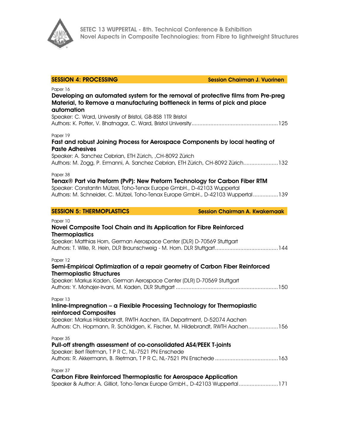

| <b>SESSION 4: PROCESSING</b>                                                                                                                                                                                                                                                | <b>Session Chairman J. Vuorinen</b>   |
|-----------------------------------------------------------------------------------------------------------------------------------------------------------------------------------------------------------------------------------------------------------------------------|---------------------------------------|
| Paper 16<br>Developing an automated system for the removal of protective films from Pre-preg<br>Material, to Remove a manufacturing bottleneck in terms of pick and place<br>automation<br>Speaker: C. Ward, University of Bristol, GB-BS8 1TR Bristol                      |                                       |
| Paper 19<br>Fast and robust Joining Process for Aerospace Components by local heating of<br><b>Paste Adhesives</b><br>Speaker: A. Sanchez Cebrian, ETH Zürich, ,CH-8092 Zürich<br>Authors: M. Zogg, P. Ermanni, A. Sanchez Cebrian, ETH Zürich, CH-8092 Zürich132           |                                       |
| Paper 38<br>Tenax® Part via Preform (PvP): New Preform Technology for Carbon Fiber RTM<br>Speaker: Constantin Mützel, Toho-Tenax Europe GmbH., D-42103 Wuppertal<br>Authors: M. Schneider, C. Mützel, Toho-Tenax Europe GmbH., D-42103 Wuppertal139                         |                                       |
| <b>SESSION 5: THERMOPLASTICS</b>                                                                                                                                                                                                                                            | <b>Session Chairman A. Kwakernaak</b> |
| Paper 10<br>Novel Composite Tool Chain and its Application for Fibre Reinforced<br><b>Thermoplastics</b><br>Speaker: Matthias Horn, German Aerospace Center (DLR) D-70569 Stuttgart                                                                                         |                                       |
| Paper 12<br>Semi-Empirical Optimization of a repair geometry of Carbon Fiber Reinforced<br><b>Thermoplastic Structures</b><br>Speaker: Markus Kaden, German Aerospace Center (DLR) D-70569 Stuttgart                                                                        |                                       |
| Paper 13<br>Inline-Impregnation - a Flexible Processing Technology for Thermoplastic<br>reinforced Composites<br>Speaker: Markus Hildebrandt, RWTH Aachen, ITA Department, D-52074 Aachen<br>Authors: Ch. Hopmann, R. Schöldgen, K. Fischer, M. Hildebrandt, RWTH Aachen156 |                                       |
| Paper 35<br>Pull-off strength assessment of co-consolidated AS4/PEEK T-joints<br>Speaker: Bert Rietman, TPRC, NL-7521 PN Enschede                                                                                                                                           |                                       |
| Paper 37<br><b>Carbon Fibre Reinforced Thermoplastic for Aerospace Application</b><br>Speaker & Author: A. Gilliot, Toho-Tenax Europe GmbH., D-42103 Wuppertal171                                                                                                           |                                       |